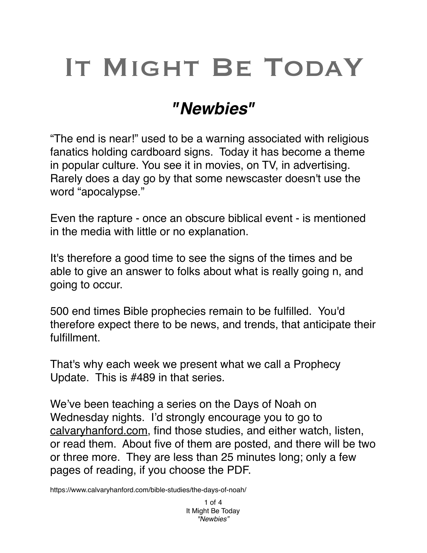## IT MIGHT BE TODAY

## *"Newbies"*

"The end is near!" used to be a warning associated with religious fanatics holding cardboard signs. Today it has become a theme in popular culture. You see it in movies, on TV, in advertising. Rarely does a day go by that some newscaster doesn't use the word "apocalypse."

Even the rapture - once an obscure biblical event - is mentioned in the media with little or no explanation.

It's therefore a good time to see the signs of the times and be able to give an answer to folks about what is really going n, and going to occur.

500 end times Bible prophecies remain to be fulfilled. You'd therefore expect there to be news, and trends, that anticipate their fulfillment.

That's why each week we present what we call a Prophecy Update. This is #489 in that series.

We've been teaching a series on the Days of Noah on Wednesday nights. I'd strongly encourage you to go to [calvaryhanford.com,](http://calvaryhanford.com) find those studies, and either watch, listen, or read them. About five of them are posted, and there will be two or three more. They are less than 25 minutes long; only a few pages of reading, if you choose the PDF.

https://www.calvaryhanford.com/bible-studies/the-days-of-noah/

1 of 4 It Might Be Today *"Newbies"*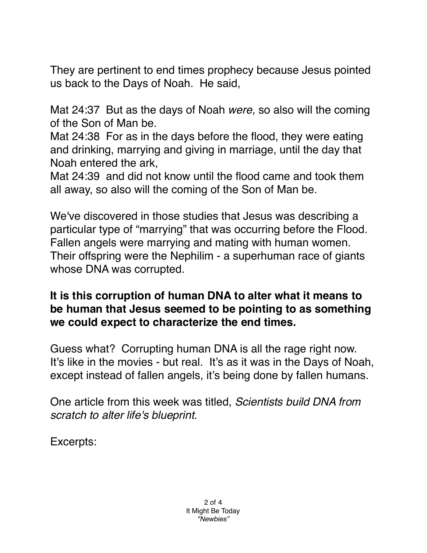They are pertinent to end times prophecy because Jesus pointed us back to the Days of Noah. He said,

Mat 24:37 But as the days of Noah *were,* so also will the coming of the Son of Man be.

Mat 24:38 For as in the days before the flood, they were eating and drinking, marrying and giving in marriage, until the day that Noah entered the ark,

Mat 24:39 and did not know until the flood came and took them all away, so also will the coming of the Son of Man be.

We've discovered in those studies that Jesus was describing a particular type of "marrying" that was occurring before the Flood. Fallen angels were marrying and mating with human women. Their offspring were the Nephilim - a superhuman race of giants whose DNA was corrupted.

## **It is this corruption of human DNA to alter what it means to be human that Jesus seemed to be pointing to as something we could expect to characterize the end times.**

Guess what? Corrupting human DNA is all the rage right now. It's like in the movies - but real. It's as it was in the Days of Noah, except instead of fallen angels, it's being done by fallen humans.

One article from this week was titled, *Scientists build DNA from scratch to alter life's blueprint.*

Excerpts: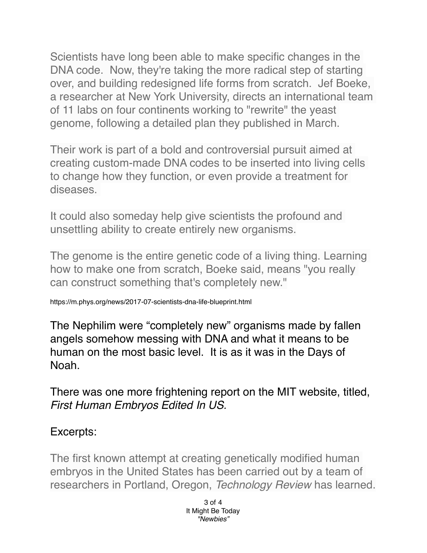Scientists have long been able to make specific changes in the DNA code. Now, they're taking the more radical step of starting over, and building redesigned life forms from scratch. Jef Boeke, a researcher at New York University, directs an international team of 11 labs on four continents working to "rewrite" the yeast genome, following a detailed plan they published in March.

Their work is part of a bold and controversial pursuit aimed at creating custom-made DNA codes to be inserted into living cells to change how they function, or even provide a treatment for diseases.

It could also someday help give scientists the profound and unsettling ability to create entirely new organisms.

The genome is the entire genetic code of a living thing. Learning how to make one from scratch, Boeke said, means "you really can construct something that's completely new."

https://m.phys.org/news/2017-07-scientists-dna-life-blueprint.html

The Nephilim were "completely new" organisms made by fallen angels somehow messing with DNA and what it means to be human on the most basic level. It is as it was in the Days of Noah.

There was one more frightening report on the MIT website, titled, *First Human Embryos Edited In US.*

## Excerpts:

The first known attempt at creating genetically modified human embryos in the United States has been carried out by a team of researchers in Portland, Oregon, *Technology Review* has learned.

> 3 of 4 It Might Be Today *"Newbies"*